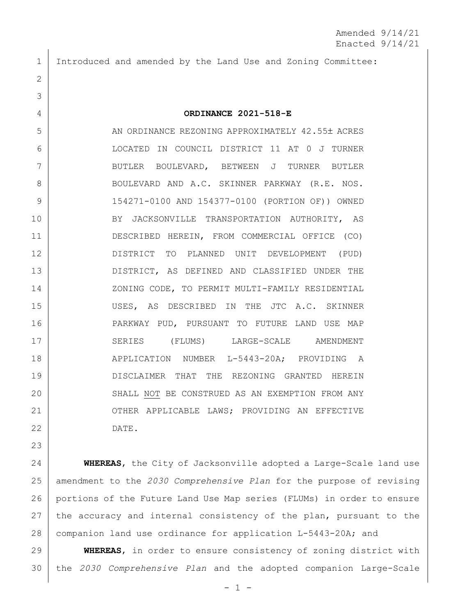Introduced and amended by the Land Use and Zoning Committee:

## **ORDINANCE 2021-518-E**

5 AN ORDINANCE REZONING APPROXIMATELY 42.55± ACRES LOCATED IN COUNCIL DISTRICT 11 AT 0 J TURNER BUTLER BOULEVARD, BETWEEN J TURNER BUTLER 8 BOULEVARD AND A.C. SKINNER PARKWAY (R.E. NOS. 154271-0100 AND 154377-0100 (PORTION OF)) OWNED BY JACKSONVILLE TRANSPORTATION AUTHORITY, AS DESCRIBED HEREIN, FROM COMMERCIAL OFFICE (CO) DISTRICT TO PLANNED UNIT DEVELOPMENT (PUD) DISTRICT, AS DEFINED AND CLASSIFIED UNDER THE 14 | ZONING CODE, TO PERMIT MULTI-FAMILY RESIDENTIAL USES, AS DESCRIBED IN THE JTC A.C. SKINNER PARKWAY PUD, PURSUANT TO FUTURE LAND USE MAP 17 SERIES (FLUMS) LARGE-SCALE AMENDMENT 18 APPLICATION NUMBER L-5443-20A; PROVIDING A DISCLAIMER THAT THE REZONING GRANTED HEREIN 20 SHALL NOT BE CONSTRUED AS AN EXEMPTION FROM ANY 21 OTHER APPLICABLE LAWS; PROVIDING AN EFFECTIVE DATE.

 **WHEREAS**, the City of Jacksonville adopted a Large-Scale land use amendment to the *2030 Comprehensive Plan* for the purpose of revising portions of the Future Land Use Map series (FLUMs) in order to ensure 27 the accuracy and internal consistency of the plan, pursuant to the companion land use ordinance for application L-5443-20A; and

 **WHEREAS**, in order to ensure consistency of zoning district with the *2030 Comprehensive Plan* and the adopted companion Large-Scale

 $- 1 -$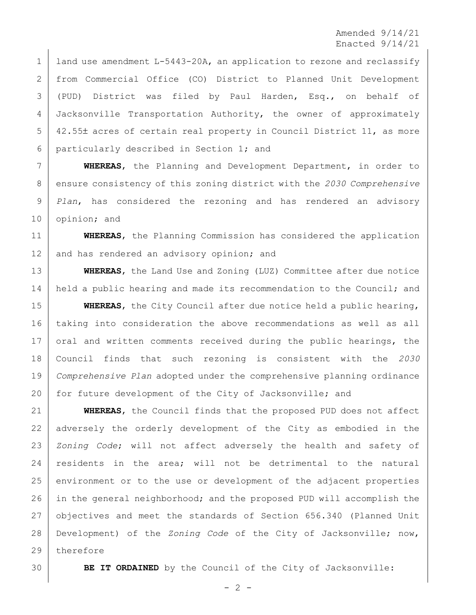Amended 9/14/21 Enacted 9/14/21

1 | land use amendment L-5443-20A, an application to rezone and reclassify from Commercial Office (CO) District to Planned Unit Development (PUD) District was filed by Paul Harden, Esq., on behalf of Jacksonville Transportation Authority, the owner of approximately 5 42.55± acres of certain real property in Council District 11, as more particularly described in Section 1; and

 **WHEREAS**, the Planning and Development Department, in order to ensure consistency of this zoning district with the *2030 Comprehensive Plan*, has considered the rezoning and has rendered an advisory opinion; and

 **WHEREAS**, the Planning Commission has considered the application 12 and has rendered an advisory opinion; and

 **WHEREAS**, the Land Use and Zoning (LUZ) Committee after due notice 14 held a public hearing and made its recommendation to the Council; and

 **WHEREAS**, the City Council after due notice held a public hearing, taking into consideration the above recommendations as well as all 17 oral and written comments received during the public hearings, the Council finds that such rezoning is consistent with the *2030 Comprehensive Plan* adopted under the comprehensive planning ordinance 20 for future development of the City of Jacksonville; and

 **WHEREAS**, the Council finds that the proposed PUD does not affect adversely the orderly development of the City as embodied in the *Zoning Code*; will not affect adversely the health and safety of residents in the area; will not be detrimental to the natural environment or to the use or development of the adjacent properties in the general neighborhood; and the proposed PUD will accomplish the objectives and meet the standards of Section 656.340 (Planned Unit Development) of the *Zoning Code* of the City of Jacksonville; now, therefore

**BE IT ORDAINED** by the Council of the City of Jacksonville:

 $- 2 -$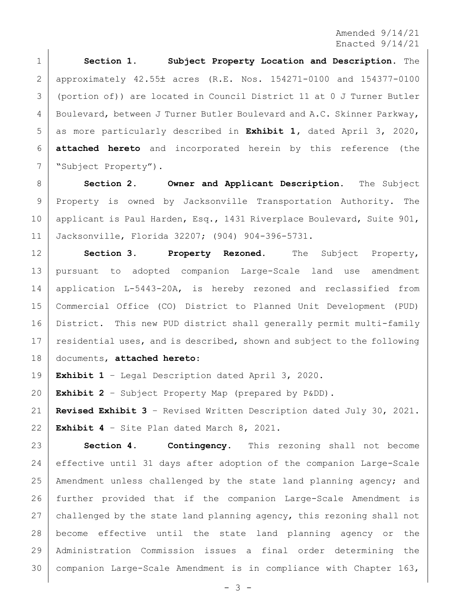Amended 9/14/21 Enacted 9/14/21

 **Section 1. Subject Property Location and Description.** The approximately 42.55 acres (R.E. Nos. 154271-0100 and 154377-0100 (portion of)) are located in Council District 11 at 0 J Turner Butler Boulevard, between J Turner Butler Boulevard and A.C. Skinner Parkway, as more particularly described in **Exhibit 1,** dated April 3, 2020, **attached hereto** and incorporated herein by this reference (the "Subject Property").

 **Section 2. Owner and Applicant Description.** The Subject Property is owned by Jacksonville Transportation Authority. The 10 applicant is Paul Harden, Esq., 1431 Riverplace Boulevard, Suite 901, Jacksonville, Florida 32207; (904) 904-396-5731.

 **Section 3. Property Rezoned.** The Subject Property, pursuant to adopted companion Large-Scale land use amendment application L-5443-20A, is hereby rezoned and reclassified from Commercial Office (CO) District to Planned Unit Development (PUD) District. This new PUD district shall generally permit multi-family 17 residential uses, and is described, shown and subject to the following documents, **attached hereto**:

**Exhibit 1** – Legal Description dated April 3, 2020.

**Exhibit 2** – Subject Property Map (prepared by P&DD).

 **Revised Exhibit 3** – Revised Written Description dated July 30, 2021. **Exhibit 4** – Site Plan dated March 8, 2021.

 **Section 4. Contingency.** This rezoning shall not become effective until 31 days after adoption of the companion Large-Scale Amendment unless challenged by the state land planning agency; and further provided that if the companion Large-Scale Amendment is challenged by the state land planning agency, this rezoning shall not become effective until the state land planning agency or the Administration Commission issues a final order determining the 30 | companion Large-Scale Amendment is in compliance with Chapter  $163$ ,

 $- 3 -$